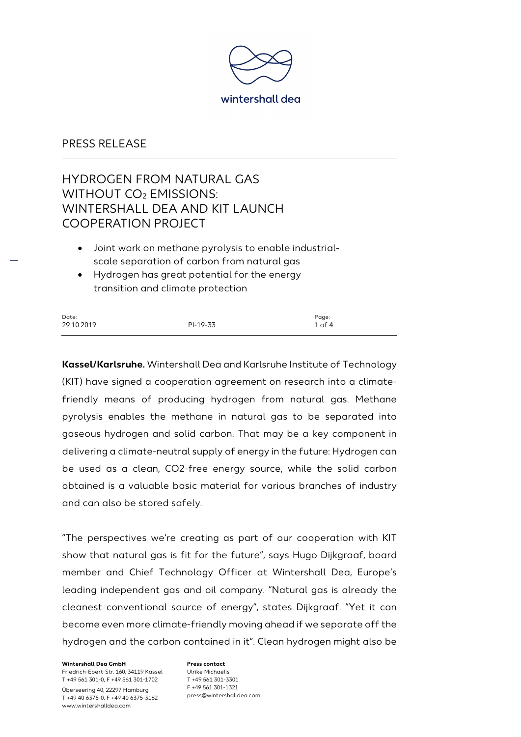

# HYDROGEN FROM NATURAL GAS WITHOUT CO<sub>2</sub> EMISSIONS: WINTERSHALL DEA AND KIT LAUNCH COOPERATION PROJECT

- Joint work on methane pyrolysis to enable industrialscale separation of carbon from natural gas
- Hydrogen has great potential for the energy transition and climate protection

| Date:      |          | Page:      |
|------------|----------|------------|
| 29.10.2019 | PI-19-33 | $1$ of $4$ |

**Kassel/Karlsruhe.** Wintershall Dea and Karlsruhe Institute of Technology (KIT) have signed a cooperation agreement on research into a climatefriendly means of producing hydrogen from natural gas. Methane pyrolysis enables the methane in natural gas to be separated into gaseous hydrogen and solid carbon. That may be a key component in delivering a climate-neutral supply of energy in the future: Hydrogen can be used as a clean, CO2-free energy source, while the solid carbon obtained is a valuable basic material for various branches of industry and can also be stored safely.

"The perspectives we're creating as part of our cooperation with KIT show that natural gas is fit for the future", says Hugo Dijkgraaf, board member and Chief Technology Officer at Wintershall Dea, Europe's leading independent gas and oil company. "Natural gas is already the cleanest conventional source of energy", states Dijkgraaf. "Yet it can become even more climate-friendly moving ahead if we separate off the hydrogen and the carbon contained in it". Clean hydrogen might also be

**Wintershall Dea GmbH** Friedrich-Ebert-Str. 160, 34119 Kassel T +49 561 301-0, F +49 561 301-1702 Überseering 40, 22297 Hamburg T +49 40 6375-0, F +49 40 6375-3162

www.wintershalldea.com

**Press contact** Ulrike Michaelis T +49 561 301-3301 F +49 561 301-1321 press@wintershalldea.com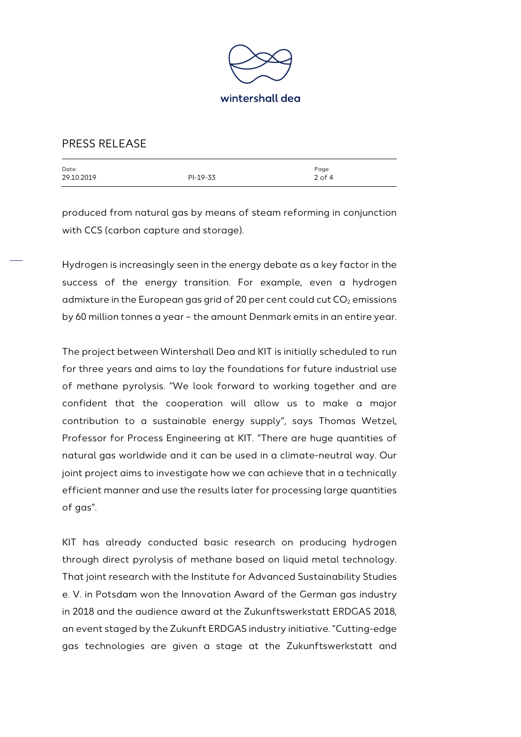

| Date:      |          | Page:      |
|------------|----------|------------|
| 29.10.2019 | PI-19-33 | $2$ of $4$ |
|            |          |            |

produced from natural gas by means of steam reforming in conjunction with CCS (carbon capture and storage).

Hydrogen is increasingly seen in the energy debate as a key factor in the success of the energy transition. For example, even a hydrogen admixture in the European gas grid of 20 per cent could cut  $CO<sub>2</sub>$  emissions by 60 million tonnes a year – the amount Denmark emits in an entire year.

The project between Wintershall Dea and KIT is initially scheduled to run for three years and aims to lay the foundations for future industrial use of methane pyrolysis. "We look forward to working together and are confident that the cooperation will allow us to make a major contribution to a sustainable energy supply", says Thomas Wetzel, Professor for Process Engineering at KIT. "There are huge quantities of natural gas worldwide and it can be used in a climate-neutral way. Our joint project aims to investigate how we can achieve that in a technically efficient manner and use the results later for processing large quantities of gas".

KIT has already conducted basic research on producing hydrogen through direct pyrolysis of methane based on liquid metal technology. That joint research with the Institute for Advanced Sustainability Studies e. V. in Potsdam won the Innovation Award of the German gas industry in 2018 and the audience award at the Zukunftswerkstatt ERDGAS 2018, an event staged by the Zukunft ERDGAS industry initiative. "Cutting-edge gas technologies are given a stage at the Zukunftswerkstatt and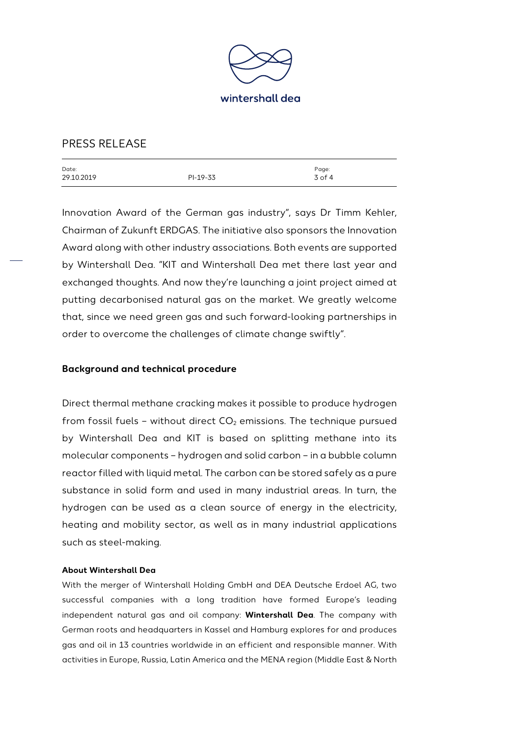

| Date:      |          | Page:    |
|------------|----------|----------|
| 29.10.2019 | PI-19-33 | $3$ of 4 |
|            |          |          |

Innovation Award of the German gas industry", says Dr Timm Kehler, Chairman of Zukunft ERDGAS. The initiative also sponsors the Innovation Award along with other industry associations. Both events are supported by Wintershall Dea. "KIT and Wintershall Dea met there last year and exchanged thoughts. And now they're launching a joint project aimed at putting decarbonised natural gas on the market. We greatly welcome that, since we need green gas and such forward-looking partnerships in order to overcome the challenges of climate change swiftly".

### **Background and technical procedure**

Direct thermal methane cracking makes it possible to produce hydrogen from fossil fuels – without direct  $CO<sub>2</sub>$  emissions. The technique pursued by Wintershall Dea and KIT is based on splitting methane into its molecular components – hydrogen and solid carbon – in a bubble column reactor filled with liquid metal. The carbon can be stored safely as a pure substance in solid form and used in many industrial areas. In turn, the hydrogen can be used as a clean source of energy in the electricity, heating and mobility sector, as well as in many industrial applications such as steel-making.

### **About Wintershall Dea**

With the merger of Wintershall Holding GmbH and DEA Deutsche Erdoel AG, two successful companies with a long tradition have formed Europe's leading independent natural gas and oil company: **Wintershall Dea**. The company with German roots and headquarters in Kassel and Hamburg explores for and produces gas and oil in 13 countries worldwide in an efficient and responsible manner. With activities in Europe, Russia, Latin America and the MENA region (Middle East & North